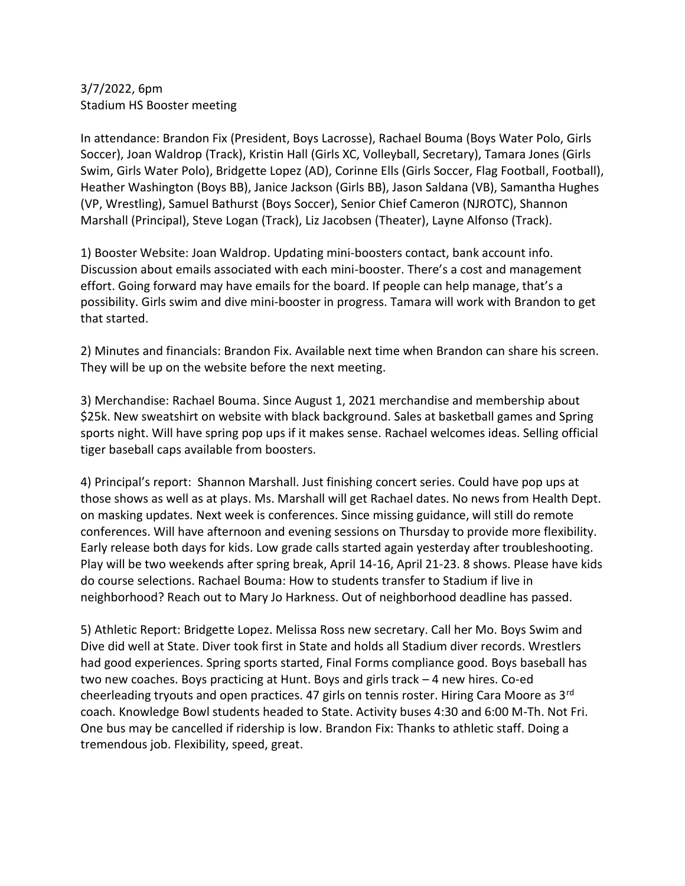## 3/7/2022, 6pm Stadium HS Booster meeting

In attendance: Brandon Fix (President, Boys Lacrosse), Rachael Bouma (Boys Water Polo, Girls Soccer), Joan Waldrop (Track), Kristin Hall (Girls XC, Volleyball, Secretary), Tamara Jones (Girls Swim, Girls Water Polo), Bridgette Lopez (AD), Corinne Ells (Girls Soccer, Flag Football, Football), Heather Washington (Boys BB), Janice Jackson (Girls BB), Jason Saldana (VB), Samantha Hughes (VP, Wrestling), Samuel Bathurst (Boys Soccer), Senior Chief Cameron (NJROTC), Shannon Marshall (Principal), Steve Logan (Track), Liz Jacobsen (Theater), Layne Alfonso (Track).

1) Booster Website: Joan Waldrop. Updating mini-boosters contact, bank account info. Discussion about emails associated with each mini-booster. There's a cost and management effort. Going forward may have emails for the board. If people can help manage, that's a possibility. Girls swim and dive mini-booster in progress. Tamara will work with Brandon to get that started.

2) Minutes and financials: Brandon Fix. Available next time when Brandon can share his screen. They will be up on the website before the next meeting.

3) Merchandise: Rachael Bouma. Since August 1, 2021 merchandise and membership about \$25k. New sweatshirt on website with black background. Sales at basketball games and Spring sports night. Will have spring pop ups if it makes sense. Rachael welcomes ideas. Selling official tiger baseball caps available from boosters.

4) Principal's report: Shannon Marshall. Just finishing concert series. Could have pop ups at those shows as well as at plays. Ms. Marshall will get Rachael dates. No news from Health Dept. on masking updates. Next week is conferences. Since missing guidance, will still do remote conferences. Will have afternoon and evening sessions on Thursday to provide more flexibility. Early release both days for kids. Low grade calls started again yesterday after troubleshooting. Play will be two weekends after spring break, April 14-16, April 21-23. 8 shows. Please have kids do course selections. Rachael Bouma: How to students transfer to Stadium if live in neighborhood? Reach out to Mary Jo Harkness. Out of neighborhood deadline has passed.

5) Athletic Report: Bridgette Lopez. Melissa Ross new secretary. Call her Mo. Boys Swim and Dive did well at State. Diver took first in State and holds all Stadium diver records. Wrestlers had good experiences. Spring sports started, Final Forms compliance good. Boys baseball has two new coaches. Boys practicing at Hunt. Boys and girls track – 4 new hires. Co-ed cheerleading tryouts and open practices. 47 girls on tennis roster. Hiring Cara Moore as 3rd coach. Knowledge Bowl students headed to State. Activity buses 4:30 and 6:00 M-Th. Not Fri. One bus may be cancelled if ridership is low. Brandon Fix: Thanks to athletic staff. Doing a tremendous job. Flexibility, speed, great.